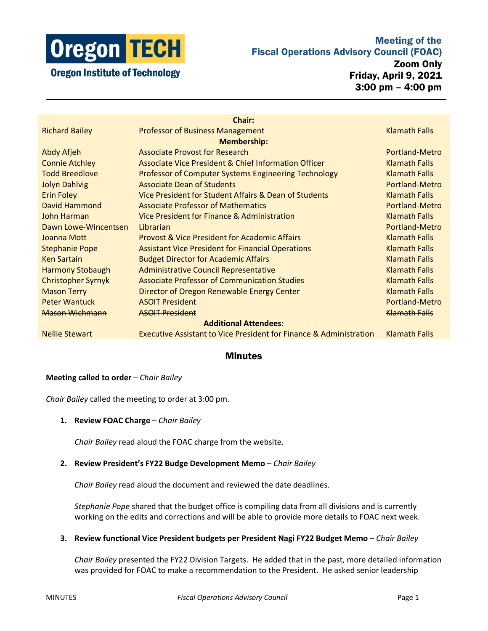

# Meeting of the Fiscal Operations Advisory Council (FOAC)

Zoom Only Friday, April 9, 2021 3:00 pm – 4:00 pm

|                              | <b>Chair:</b>                                                                 |                      |
|------------------------------|-------------------------------------------------------------------------------|----------------------|
| <b>Richard Bailey</b>        | <b>Professor of Business Management</b>                                       | <b>Klamath Falls</b> |
| <b>Membership:</b>           |                                                                               |                      |
| Abdy Afjeh                   | <b>Associate Provost for Research</b>                                         | Portland-Metro       |
| <b>Connie Atchley</b>        | Associate Vice President & Chief Information Officer                          | <b>Klamath Falls</b> |
| <b>Todd Breedlove</b>        | <b>Professor of Computer Systems Engineering Technology</b>                   | Klamath Falls        |
| <b>Jolyn Dahlvig</b>         | <b>Associate Dean of Students</b>                                             | Portland-Metro       |
| <b>Erin Foley</b>            | Vice President for Student Affairs & Dean of Students                         | <b>Klamath Falls</b> |
| David Hammond                | <b>Associate Professor of Mathematics</b>                                     | Portland-Metro       |
| John Harman                  | Vice President for Finance & Administration                                   | <b>Klamath Falls</b> |
| Dawn Lowe-Wincentsen         | Librarian                                                                     | Portland-Metro       |
| Joanna Mott                  | <b>Provost &amp; Vice President for Academic Affairs</b>                      | <b>Klamath Falls</b> |
| <b>Stephanie Pope</b>        | <b>Assistant Vice President for Financial Operations</b>                      | <b>Klamath Falls</b> |
| <b>Ken Sartain</b>           | <b>Budget Director for Academic Affairs</b>                                   | <b>Klamath Falls</b> |
| <b>Harmony Stobaugh</b>      | <b>Administrative Council Representative</b>                                  | <b>Klamath Falls</b> |
| <b>Christopher Syrnyk</b>    | <b>Associate Professor of Communication Studies</b>                           | <b>Klamath Falls</b> |
| <b>Mason Terry</b>           | Director of Oregon Renewable Energy Center                                    | <b>Klamath Falls</b> |
| <b>Peter Wantuck</b>         | <b>ASOIT President</b>                                                        | Portland-Metro       |
| Mason Wichmann               | <b>ASOIT President</b>                                                        | Klamath Falls        |
| <b>Additional Attendees:</b> |                                                                               |                      |
| <b>Nellie Stewart</b>        | <b>Executive Assistant to Vice President for Finance &amp; Administration</b> | <b>Klamath Falls</b> |
|                              |                                                                               |                      |

## **Minutes**

### **Meeting called to order** – *Chair Bailey*

*Chair Bailey* called the meeting to order at 3:00 pm.

#### **1. Review FOAC Charge** – *Chair Bailey*

*Chair Bailey* read aloud the FOAC charge from the website.

#### **2. Review President's FY22 Budge Development Memo** – *Chair Bailey*

*Chair Bailey* read aloud the document and reviewed the date deadlines.

*Stephanie Pope* shared that the budget office is compiling data from all divisions and is currently working on the edits and corrections and will be able to provide more details to FOAC next week.

**3. Review functional Vice President budgets per President Nagi FY22 Budget Memo** – *Chair Bailey*

*Chair Bailey* presented the FY22 Division Targets. He added that in the past, more detailed information was provided for FOAC to make a recommendation to the President. He asked senior leadership